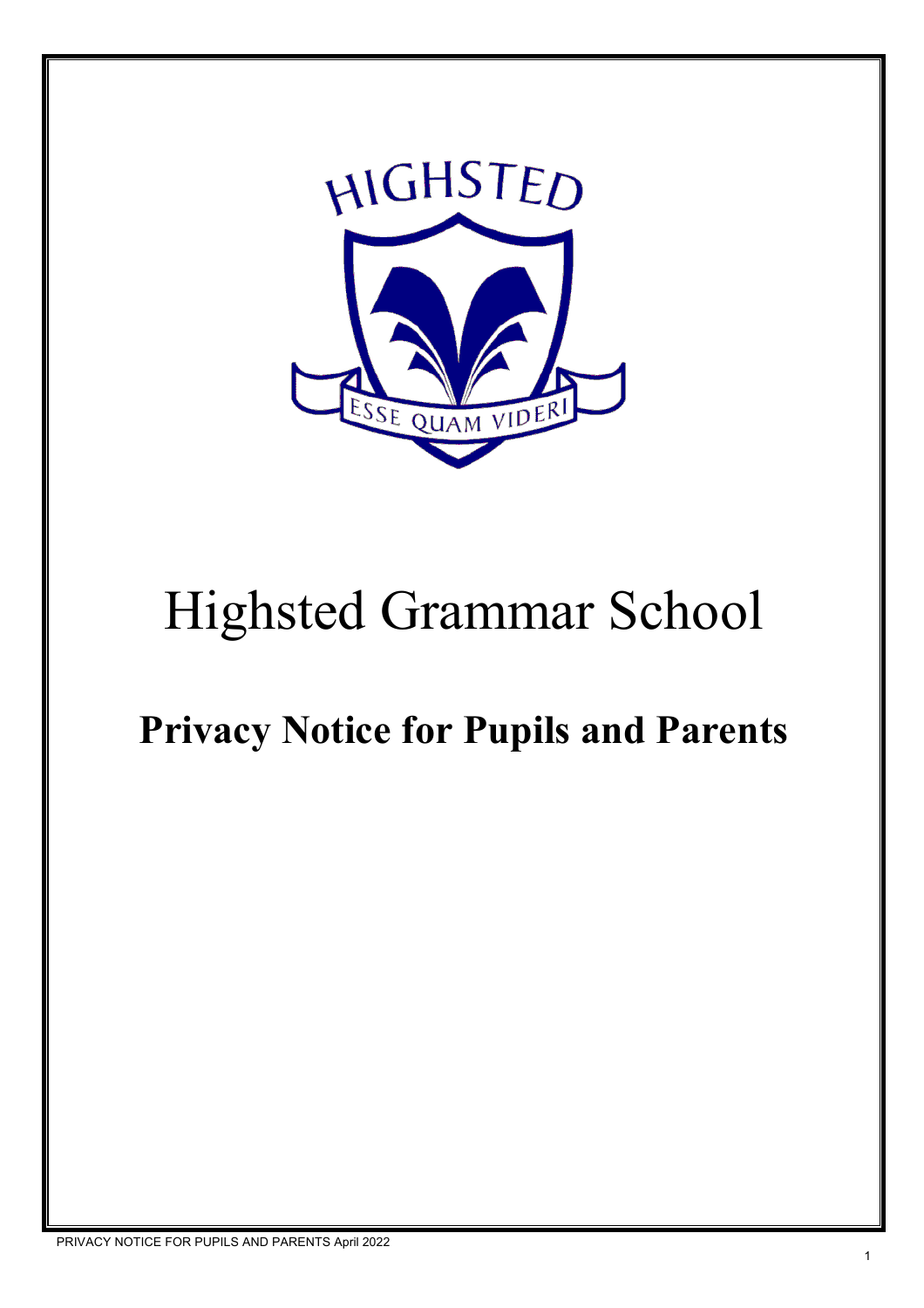

# Highsted Grammar School

# **Privacy Notice for Pupils and Parents**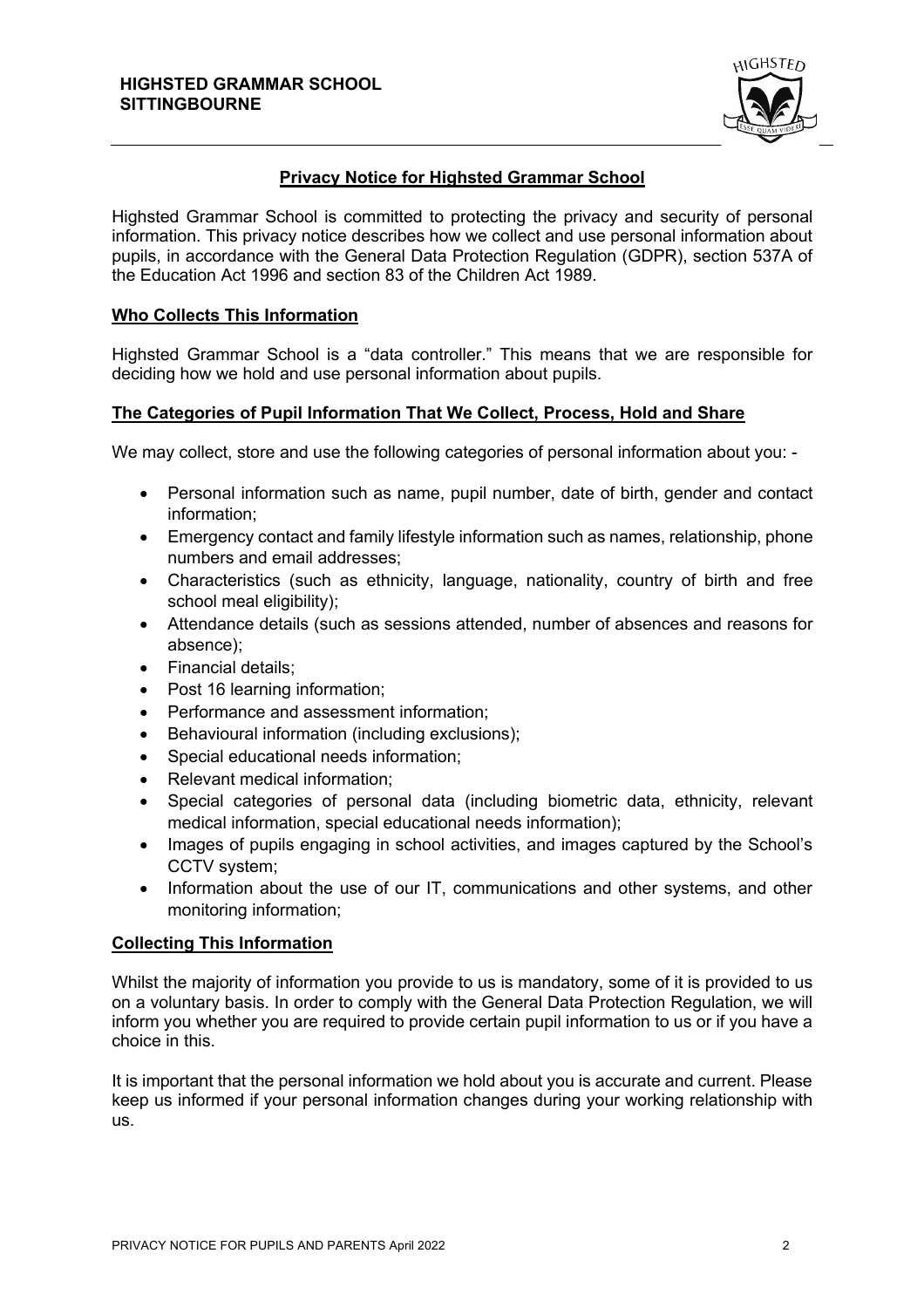

# **Privacy Notice for Highsted Grammar School**

Highsted Grammar School is committed to protecting the privacy and security of personal information. This privacy notice describes how we collect and use personal information about pupils, in accordance with the General Data Protection Regulation (GDPR), section 537A of the Education Act 1996 and section 83 of the Children Act 1989.

# **Who Collects This Information**

Highsted Grammar School is a "data controller." This means that we are responsible for deciding how we hold and use personal information about pupils.

# **The Categories of Pupil Information That We Collect, Process, Hold and Share**

We may collect, store and use the following categories of personal information about you: -

- Personal information such as name, pupil number, date of birth, gender and contact information;
- Emergency contact and family lifestyle information such as names, relationship, phone numbers and email addresses;
- Characteristics (such as ethnicity, language, nationality, country of birth and free school meal eligibility);
- Attendance details (such as sessions attended, number of absences and reasons for absence);
- Financial details;
- Post 16 learning information:
- Performance and assessment information;
- Behavioural information (including exclusions);
- Special educational needs information;
- Relevant medical information;
- Special categories of personal data (including biometric data, ethnicity, relevant medical information, special educational needs information);
- Images of pupils engaging in school activities, and images captured by the School's CCTV system;
- Information about the use of our IT, communications and other systems, and other monitoring information;

## **Collecting This Information**

Whilst the majority of information you provide to us is mandatory, some of it is provided to us on a voluntary basis. In order to comply with the General Data Protection Regulation, we will inform you whether you are required to provide certain pupil information to us or if you have a choice in this.

It is important that the personal information we hold about you is accurate and current. Please keep us informed if your personal information changes during your working relationship with us.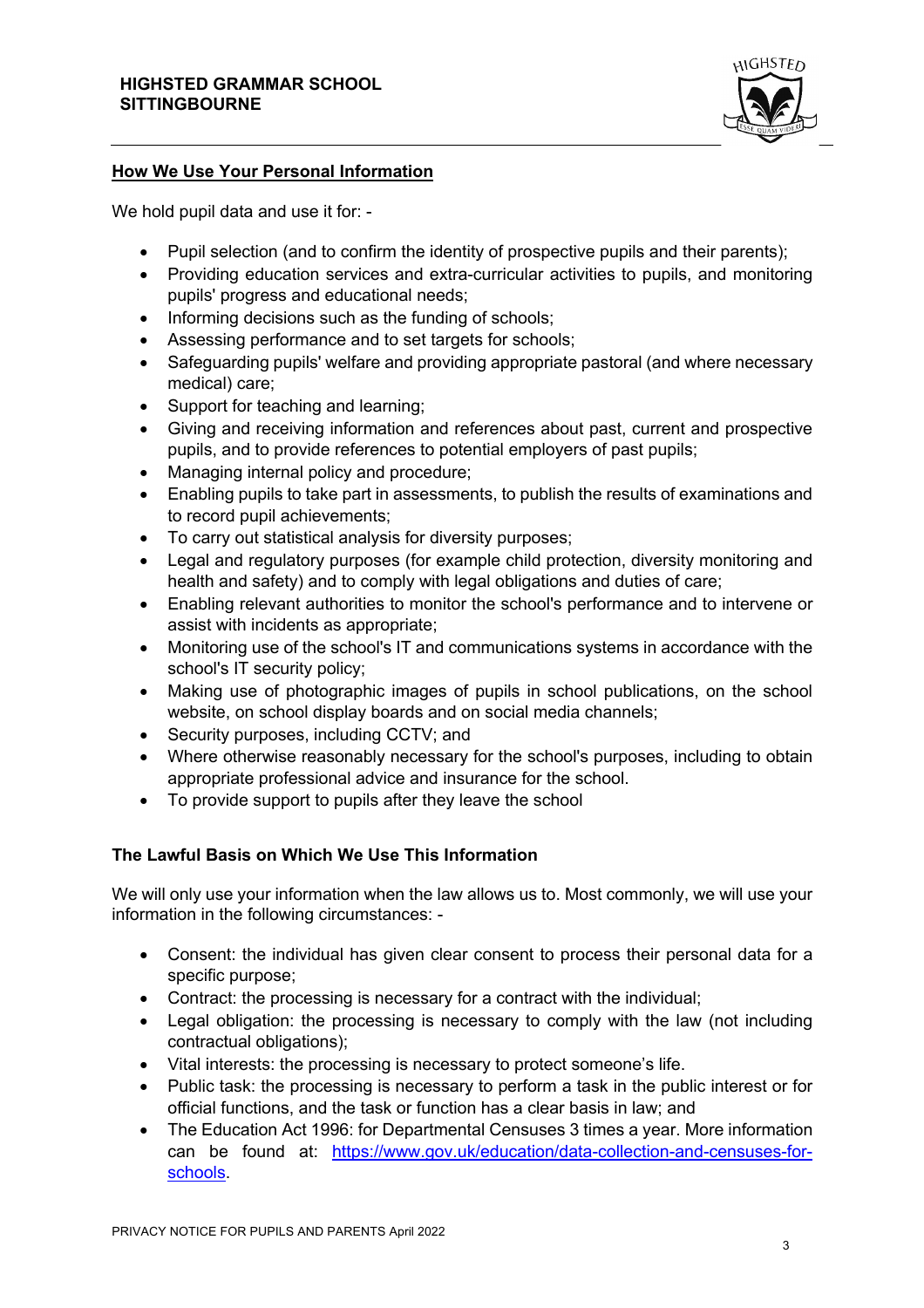

# **How We Use Your Personal Information**

We hold pupil data and use it for: -

- Pupil selection (and to confirm the identity of prospective pupils and their parents);
- Providing education services and extra-curricular activities to pupils, and monitoring pupils' progress and educational needs;
- Informing decisions such as the funding of schools;
- Assessing performance and to set targets for schools;
- Safeguarding pupils' welfare and providing appropriate pastoral (and where necessary medical) care;
- Support for teaching and learning;
- Giving and receiving information and references about past, current and prospective pupils, and to provide references to potential employers of past pupils;
- Managing internal policy and procedure;
- Enabling pupils to take part in assessments, to publish the results of examinations and to record pupil achievements;
- To carry out statistical analysis for diversity purposes;
- Legal and regulatory purposes (for example child protection, diversity monitoring and health and safety) and to comply with legal obligations and duties of care;
- Enabling relevant authorities to monitor the school's performance and to intervene or assist with incidents as appropriate;
- Monitoring use of the school's IT and communications systems in accordance with the school's IT security policy;
- Making use of photographic images of pupils in school publications, on the school website, on school display boards and on social media channels;
- Security purposes, including CCTV; and
- Where otherwise reasonably necessary for the school's purposes, including to obtain appropriate professional advice and insurance for the school.
- To provide support to pupils after they leave the school

# **The Lawful Basis on Which We Use This Information**

We will only use your information when the law allows us to. Most commonly, we will use your information in the following circumstances: -

- Consent: the individual has given clear consent to process their personal data for a specific purpose;
- Contract: the processing is necessary for a contract with the individual;
- Legal obligation: the processing is necessary to comply with the law (not including contractual obligations);
- Vital interests: the processing is necessary to protect someone's life.
- Public task: the processing is necessary to perform a task in the public interest or for official functions, and the task or function has a clear basis in law; and
- The Education Act 1996: for Departmental Censuses 3 times a year. More information can be found at: https://www.gov.uk/education/data-collection-and-censuses-forschools.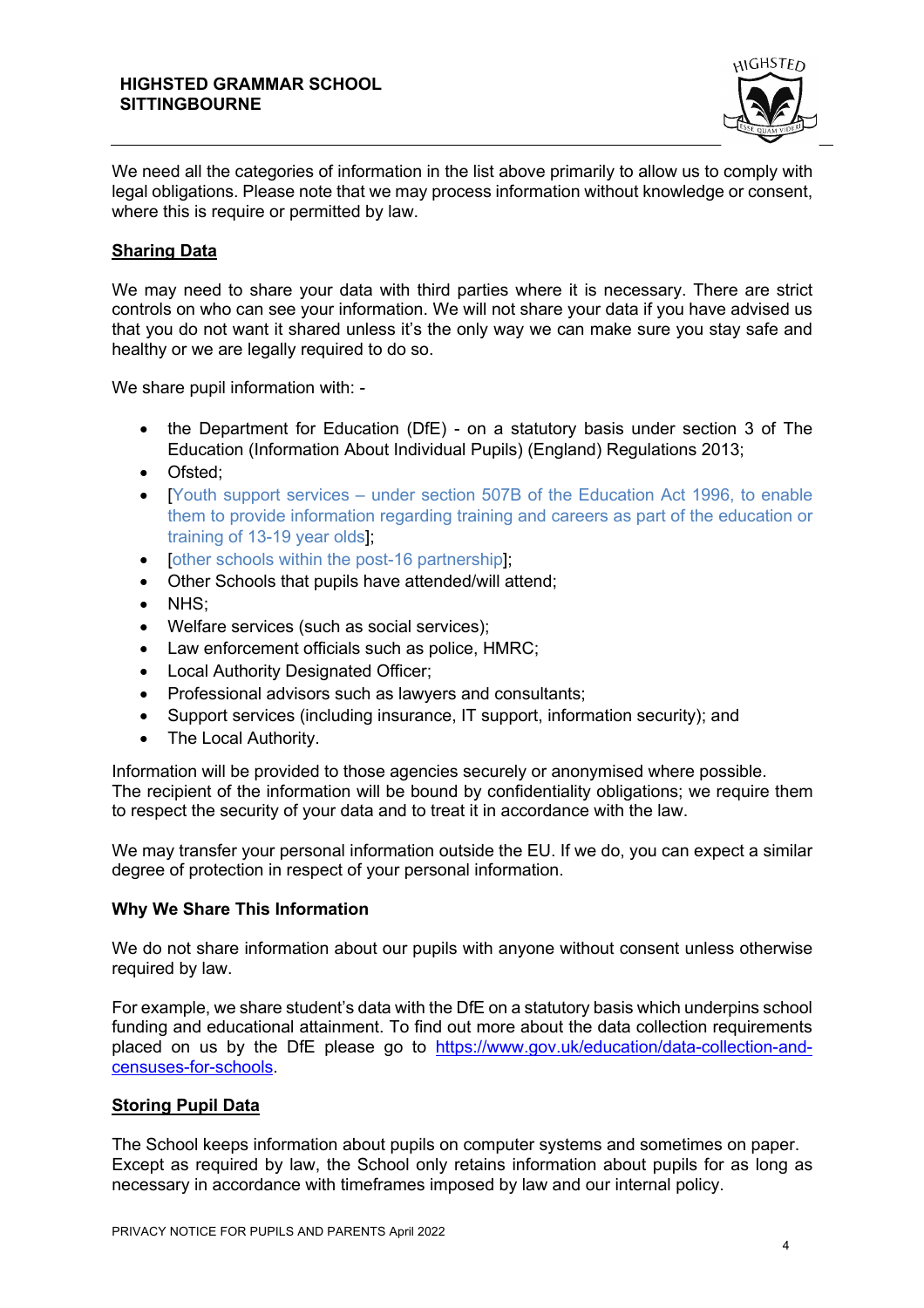

We need all the categories of information in the list above primarily to allow us to comply with legal obligations. Please note that we may process information without knowledge or consent, where this is require or permitted by law.

# **Sharing Data**

We may need to share your data with third parties where it is necessary. There are strict controls on who can see your information. We will not share your data if you have advised us that you do not want it shared unless it's the only way we can make sure you stay safe and healthy or we are legally required to do so.

We share pupil information with: -

- the Department for Education (DfE) on a statutory basis under section 3 of The Education (Information About Individual Pupils) (England) Regulations 2013;
- Ofsted;
- [Youth support services under section 507B of the Education Act 1996, to enable them to provide information regarding training and careers as part of the education or training of 13-19 year olds];
- [other schools within the post-16 partnership];
- Other Schools that pupils have attended/will attend;
- NHS;
- Welfare services (such as social services);
- Law enforcement officials such as police, HMRC;
- Local Authority Designated Officer;
- Professional advisors such as lawyers and consultants;
- Support services (including insurance, IT support, information security); and
- The Local Authority.

Information will be provided to those agencies securely or anonymised where possible. The recipient of the information will be bound by confidentiality obligations; we require them to respect the security of your data and to treat it in accordance with the law.

We may transfer your personal information outside the EU. If we do, you can expect a similar degree of protection in respect of your personal information.

## **Why We Share This Information**

We do not share information about our pupils with anyone without consent unless otherwise required by law.

For example, we share student's data with the DfE on a statutory basis which underpins school funding and educational attainment. To find out more about the data collection requirements placed on us by the DfE please go to https://www.gov.uk/education/data-collection-andcensuses-for-schools.

## **Storing Pupil Data**

The School keeps information about pupils on computer systems and sometimes on paper. Except as required by law, the School only retains information about pupils for as long as necessary in accordance with timeframes imposed by law and our internal policy.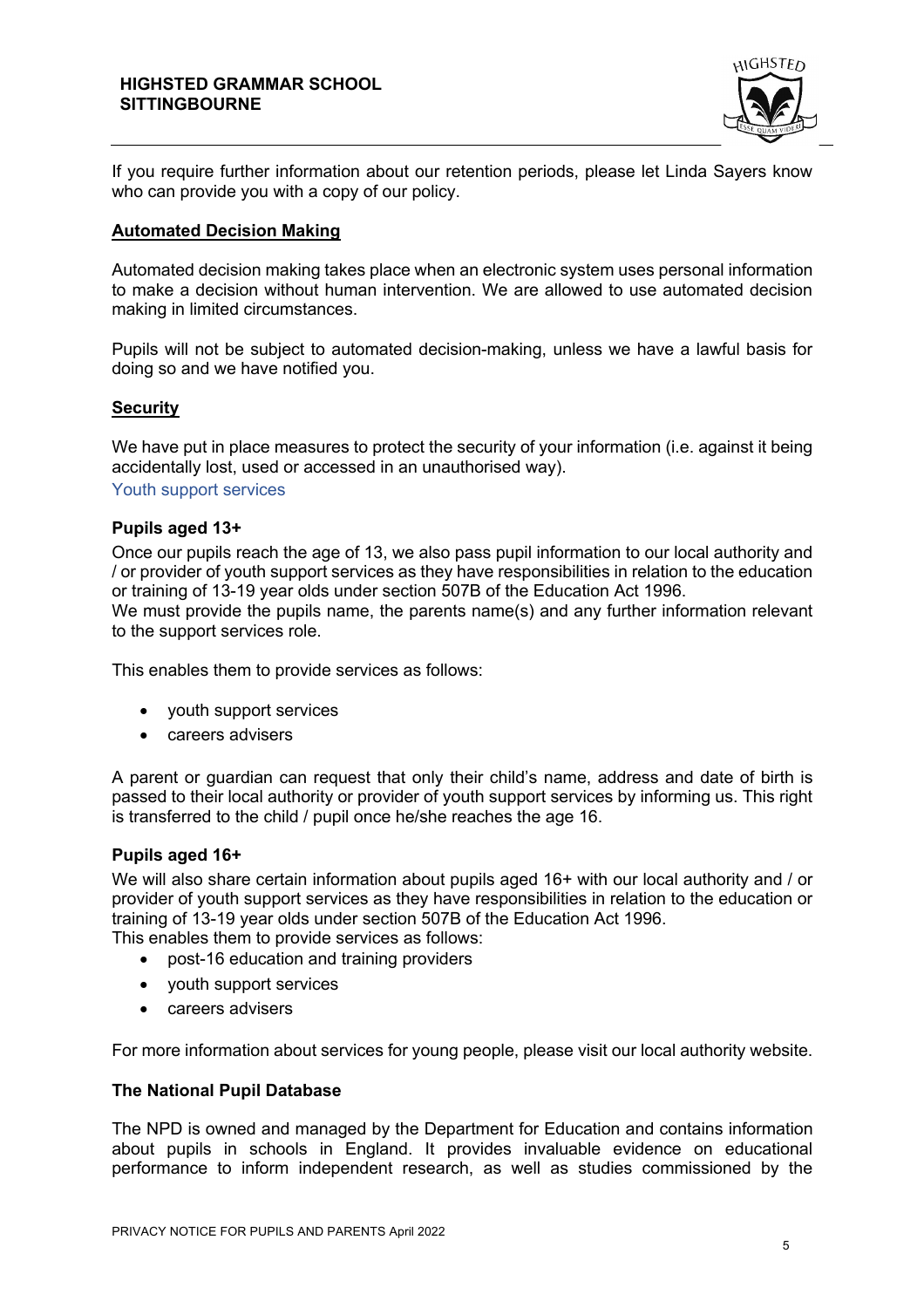

If you require further information about our retention periods, please let Linda Sayers know who can provide you with a copy of our policy.

# **Automated Decision Making**

Automated decision making takes place when an electronic system uses personal information to make a decision without human intervention. We are allowed to use automated decision making in limited circumstances.

Pupils will not be subject to automated decision-making, unless we have a lawful basis for doing so and we have notified you.

# **Security**

We have put in place measures to protect the security of your information (i.e. against it being accidentally lost, used or accessed in an unauthorised way). Youth support services

# **Pupils aged 13+**

Once our pupils reach the age of 13, we also pass pupil information to our local authority and / or provider of youth support services as they have responsibilities in relation to the education or training of 13-19 year olds under section 507B of the Education Act 1996.

We must provide the pupils name, the parents name(s) and any further information relevant to the support services role.

This enables them to provide services as follows:

- youth support services
- careers advisers

A parent or guardian can request that only their child's name, address and date of birth is passed to their local authority or provider of youth support services by informing us. This right is transferred to the child / pupil once he/she reaches the age 16.

## **Pupils aged 16+**

We will also share certain information about pupils aged 16+ with our local authority and / or provider of youth support services as they have responsibilities in relation to the education or training of 13-19 year olds under section 507B of the Education Act 1996. This enables them to provide services as follows:

• post-16 education and training providers

- youth support services
- careers advisers

For more information about services for young people, please visit our local authority website.

## **The National Pupil Database**

The NPD is owned and managed by the Department for Education and contains information about pupils in schools in England. It provides invaluable evidence on educational performance to inform independent research, as well as studies commissioned by the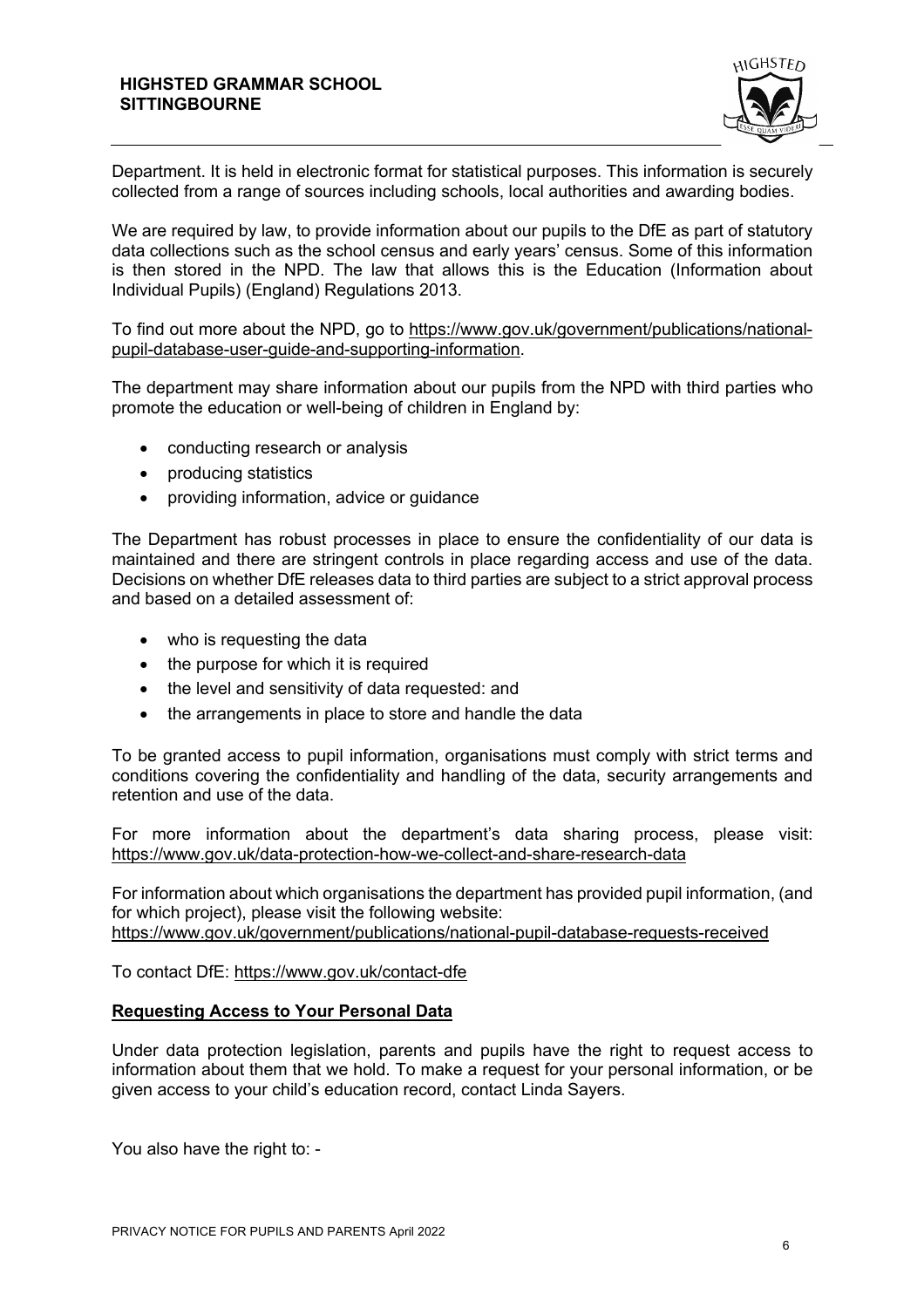

Department. It is held in electronic format for statistical purposes. This information is securely collected from a range of sources including schools, local authorities and awarding bodies.

We are required by law, to provide information about our pupils to the DfE as part of statutory data collections such as the school census and early years' census. Some of this information is then stored in the NPD. The law that allows this is the Education (Information about Individual Pupils) (England) Regulations 2013.

To find out more about the NPD, go to https://www.gov.uk/government/publications/nationalpupil-database-user-guide-and-supporting-information.

The department may share information about our pupils from the NPD with third parties who promote the education or well-being of children in England by:

- conducting research or analysis
- producing statistics
- providing information, advice or quidance

The Department has robust processes in place to ensure the confidentiality of our data is maintained and there are stringent controls in place regarding access and use of the data. Decisions on whether DfE releases data to third parties are subject to a strict approval process and based on a detailed assessment of:

- who is requesting the data
- the purpose for which it is required
- the level and sensitivity of data requested: and
- the arrangements in place to store and handle the data

To be granted access to pupil information, organisations must comply with strict terms and conditions covering the confidentiality and handling of the data, security arrangements and retention and use of the data.

For more information about the department's data sharing process, please visit: https://www.gov.uk/data-protection-how-we-collect-and-share-research-data

For information about which organisations the department has provided pupil information, (and for which project), please visit the following website: https://www.gov.uk/government/publications/national-pupil-database-requests-received

To contact DfE: https://www.gov.uk/contact-dfe

## **Requesting Access to Your Personal Data**

Under data protection legislation, parents and pupils have the right to request access to information about them that we hold. To make a request for your personal information, or be given access to your child's education record, contact Linda Sayers.

You also have the right to: -